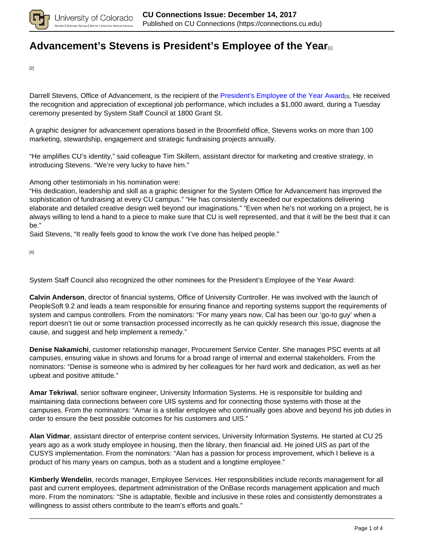

# **[Advancement's Stevens is President's Employee of the Year](https://connections.cu.edu/spotlights/advancement-s-stevens-president-s-employee-year)**[1]

[2]

Darrell Stevens, Office of Advancement, is the recipient of the President's Employee of the Year Award[3]. He received the recognition and appreciation of exceptional job performance, which includes a \$1,000 award, during a Tuesday ceremony presented by System Staff Council at 1800 Grant St.

A graphic designer for advancement operations based in the Broomfield office, Stevens works on more than 100 marketing, stewardship, engagement and strategic fundraising projects annually.

"He amplifies CU's identity," said colleague Tim Skillern, assistant director for marketing and creative strategy, in introducing Stevens. "We're very lucky to have him."

Among other testimonials in his nomination were:

"His dedication, leadership and skill as a graphic designer for the System Office for Advancement has improved the sophistication of fundraising at every CU campus." "He has consistently exceeded our expectations delivering elaborate and detailed creative design well beyond our imaginations." "Even when he's not working on a project, he is always willing to lend a hand to a piece to make sure that CU is well represented, and that it will be the best that it can be."

Said Stevens, "It really feels good to know the work I've done has helped people."

[4]

System Staff Council also recognized the other nominees for the President's Employee of the Year Award:

**Calvin Anderson**, director of financial systems, Office of University Controller. He was involved with the launch of PeopleSoft 9.2 and leads a team responsible for ensuring finance and reporting systems support the requirements of system and campus controllers. From the nominators: "For many years now, Cal has been our 'go-to guy' when a report doesn't tie out or some transaction processed incorrectly as he can quickly research this issue, diagnose the cause, and suggest and help implement a remedy."

**Denise Nakamichi**, customer relationship manager, Procurement Service Center. She manages PSC events at all campuses, ensuring value in shows and forums for a broad range of internal and external stakeholders. From the nominators: "Denise is someone who is admired by her colleagues for her hard work and dedication, as well as her upbeat and positive attitude."

**Amar Tekriwal**, senior software engineer, University Information Systems. He is responsible for building and maintaining data connections between core UIS systems and for connecting those systems with those at the campuses. From the nominators: "Amar is a stellar employee who continually goes above and beyond his job duties in order to ensure the best possible outcomes for his customers and UIS."

**Alan Vidmar**, assistant director of enterprise content services, University Information Systems. He started at CU 25 years ago as a work study employee in housing, then the library, then financial aid. He joined UIS as part of the CUSYS implementation. From the nominators: "Alan has a passion for process improvement, which I believe is a product of his many years on campus, both as a student and a longtime employee."

**Kimberly Wendelin**, records manager, Employee Services. Her responsibilities include records management for all past and current employees, department administration of the OnBase records management application and much more. From the nominators: "She is adaptable, flexible and inclusive in these roles and consistently demonstrates a willingness to assist others contribute to the team's efforts and goals."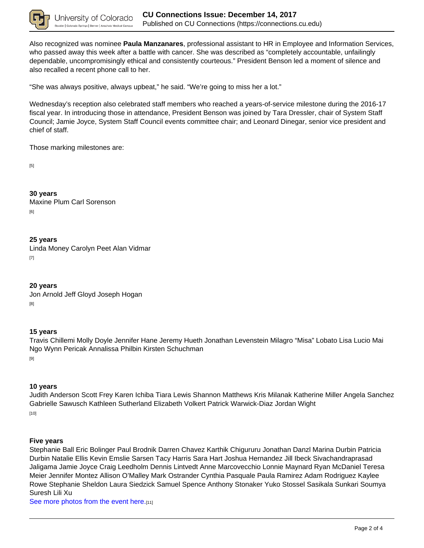

Also recognized was nominee **Paula Manzanares**, professional assistant to HR in Employee and Information Services, who passed away this week after a battle with cancer. She was described as "completely accountable, unfailingly dependable, uncompromisingly ethical and consistently courteous." President Benson led a moment of silence and also recalled a recent phone call to her.

"She was always positive, always upbeat," he said. "We're going to miss her a lot."

Wednesday's reception also celebrated staff members who reached a years-of-service milestone during the 2016-17 fiscal year. In introducing those in attendance, President Benson was joined by Tara Dressler, chair of System Staff Council; Jamie Joyce, System Staff Council events committee chair; and Leonard Dinegar, senior vice president and chief of staff.

Those marking milestones are:

[5]

**30 years** Maxine Plum Carl Sorenson [6]

## **25 years**

Linda Money Carolyn Peet Alan Vidmar [7]

**20 years** Jon Arnold Jeff Gloyd Joseph Hogan [8]

## **15 years**

Travis Chillemi Molly Doyle Jennifer Hane Jeremy Hueth Jonathan Levenstein Milagro "Misa" Lobato Lisa Lucio Mai Ngo Wynn Pericak Annalissa Philbin Kirsten Schuchman [9]

## **10 years**

Judith Anderson Scott Frey Karen Ichiba Tiara Lewis Shannon Matthews Kris Milanak Katherine Miller Angela Sanchez Gabrielle Sawusch Kathleen Sutherland Elizabeth Volkert Patrick Warwick-Diaz Jordan Wight [10]

### **Five years**

Stephanie Ball Eric Bolinger Paul Brodnik Darren Chavez Karthik Chigururu Jonathan Danzl Marina Durbin Patricia Durbin Natalie Ellis Kevin Emslie Sarsen Tacy Harris Sara Hart Joshua Hernandez Jill Ibeck Sivachandraprasad Jaligama Jamie Joyce Craig Leedholm Dennis Lintvedt Anne Marcovecchio Lonnie Maynard Ryan McDaniel Teresa Meier Jennifer Montez Allison O'Malley Mark Ostrander Cynthia Pasquale Paula Ramirez Adam Rodriguez Kaylee Rowe Stephanie Sheldon Laura Siedzick Samuel Spence Anthony Stonaker Yuko Stossel Sasikala Sunkari Soumya Suresh Lili Xu

See more photos from the event here.[11]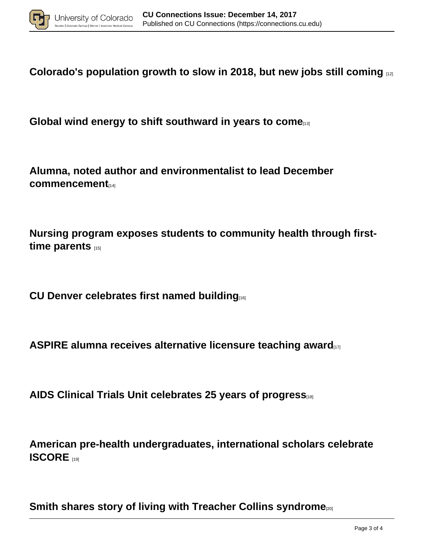

**Colorado's population growth to slow in 2018, but new jobs still coming** [12]

Global wind energy to shift southward in years to come<sub>[13]</sub>

**Alumna, noted author and environmentalist to lead December commencement**[14]

**Nursing program exposes students to community health through firsttime parents** [15]

**CU Denver celebrates first named building**[16]

**ASPIRE alumna receives alternative licensure teaching award**[17]

**AIDS Clinical Trials Unit celebrates 25 years of progress**[18]

**American pre-health undergraduates, international scholars celebrate ISCORE** 

**Smith shares story of living with Treacher Collins syndrome**